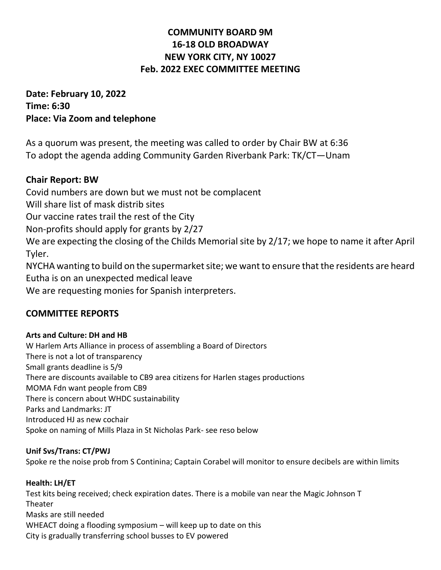# **COMMUNITY BOARD 9M 16-18 OLD BROADWAY NEW YORK CITY, NY 10027 Feb. 2022 EXEC COMMITTEE MEETING**

**Date: February 10, 2022 Time: 6:30 Place: Via Zoom and telephone**

As a quorum was present, the meeting was called to order by Chair BW at 6:36 To adopt the agenda adding Community Garden Riverbank Park: TK/CT—Unam

## **Chair Report: BW**

Covid numbers are down but we must not be complacent Will share list of mask distrib sites Our vaccine rates trail the rest of the City Non-profits should apply for grants by 2/27 We are expecting the closing of the Childs Memorial site by 2/17; we hope to name it after April Tyler. NYCHA wanting to build on the supermarket site; we want to ensure that the residents are heard

Eutha is on an unexpected medical leave

We are requesting monies for Spanish interpreters.

## **COMMITTEE REPORTS**

## **Arts and Culture: DH and HB**

W Harlem Arts Alliance in process of assembling a Board of Directors There is not a lot of transparency Small grants deadline is 5/9 There are discounts available to CB9 area citizens for Harlen stages productions MOMA Fdn want people from CB9 There is concern about WHDC sustainability Parks and Landmarks: JT Introduced HJ as new cochair Spoke on naming of Mills Plaza in St Nicholas Park- see reso below

## **Unif Svs/Trans: CT/PWJ**

Spoke re the noise prob from S Continina; Captain Corabel will monitor to ensure decibels are within limits

## **Health: LH/ET**

Test kits being received; check expiration dates. There is a mobile van near the Magic Johnson T Theater Masks are still needed WHEACT doing a flooding symposium – will keep up to date on this City is gradually transferring school busses to EV powered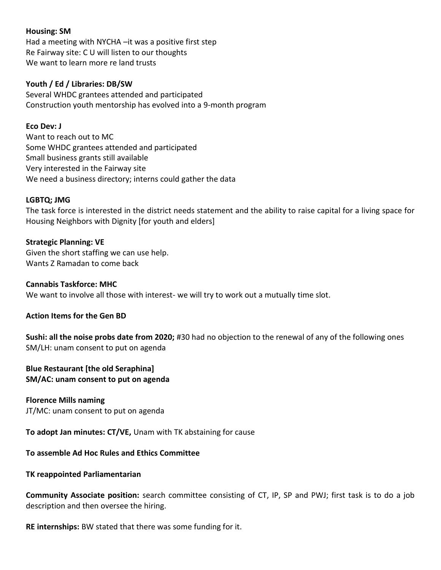#### **Housing: SM**

Had a meeting with NYCHA –it was a positive first step Re Fairway site: C U will listen to our thoughts We want to learn more re land trusts

#### **Youth / Ed / Libraries: DB/SW**

Several WHDC grantees attended and participated Construction youth mentorship has evolved into a 9-month program

#### **Eco Dev: J**

Want to reach out to MC Some WHDC grantees attended and participated Small business grants still available Very interested in the Fairway site We need a business directory; interns could gather the data

#### **LGBTQ; JMG**

The task force is interested in the district needs statement and the ability to raise capital for a living space for Housing Neighbors with Dignity [for youth and elders]

#### **Strategic Planning: VE**

Given the short staffing we can use help. Wants Z Ramadan to come back

#### **Cannabis Taskforce: MHC**

We want to involve all those with interest- we will try to work out a mutually time slot.

#### **Action Items for the Gen BD**

**Sushi: all the noise probs date from 2020;** #30 had no objection to the renewal of any of the following ones SM/LH: unam consent to put on agenda

#### **Blue Restaurant [the old Seraphina] SM/AC: unam consent to put on agenda**

**Florence Mills naming** JT/MC: unam consent to put on agenda

**To adopt Jan minutes: CT/VE,** Unam with TK abstaining for cause

#### **To assemble Ad Hoc Rules and Ethics Committee**

#### **TK reappointed Parliamentarian**

**Community Associate position:** search committee consisting of CT, IP, SP and PWJ; first task is to do a job description and then oversee the hiring.

**RE internships:** BW stated that there was some funding for it.